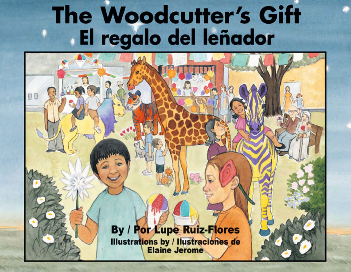## The Woodcutter's Gift El regalo del leñador

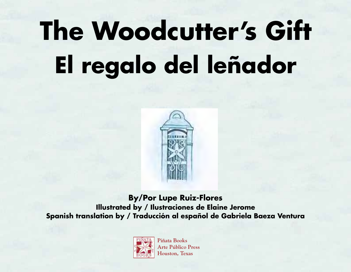## **The Woodcutter's Gift El regalo del leñador**



**By/Por Lupe Ruiz-Flores Illustrated by / Ilustraciones de Elaine Jerome Spanish translation by / Traducción al español de Gabriela Baeza Ventura**



**Piñata Books Arte Público Press Houston, Texas**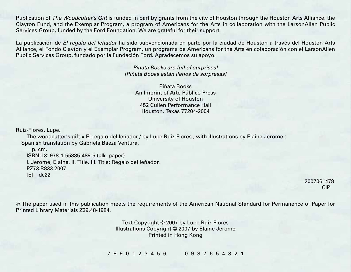Publication of *The Woodcutter's Gift* is funded in part by grants from the city of Houston through the Houston Arts Alliance, the Clayton Fund, and the Exemplar Program, a program of Americans for the Arts in collaboration with the LarsonAllen Public Services Group, funded by the Ford Foundation. We are grateful for their support.

La publicación de *El regalo del leñador* ha sido subvencionada en parte por la ciudad de Houston a través del Houston Arts Alliance, el Fondo Clayton y el Exemplar Program, un programa de Americans for the Arts en colaboración con el LarsonAllen Public Services Group, fundado por la Fundación Ford. Agradecemos su apoyo.

> *Piñata Books are full of surprises! ¡Piñata Books están llenos de sorpresas!*

Piñata Books An Imprint of Arte Público Press University of Houston 452 Cullen Performance Hall Houston, Texas 77204-2004

Ruiz-Flores, Lupe.

The woodcutter's gift = El regalo del leñador / by Lupe Ruiz-Flores ; with illustrations by Elaine Jerome ; Spanish translation by Gabriela Baeza Ventura.

p. cm. ISBN-13: 978-1-55885-489-5 (alk. paper) I. Jerome, Elaine. II. Title. III. Title: Regalo del leñador. PZ73.R833 2007  $[E]$ —dc22

2007061478 CIP

The paper used in this publication meets the requirements of the American National Standard for Permanence of Paper for Printed Library Materials Z39.48-1984.

> Text Copyright © 2007 by Lupe Ruiz-Flores Illustrations Copyright © 2007 by Elaine Jerome Printed in Hong Kong

7 8 9 0 1 2 3 4 5 6 0 9 8 7 6 5 4 3 2 1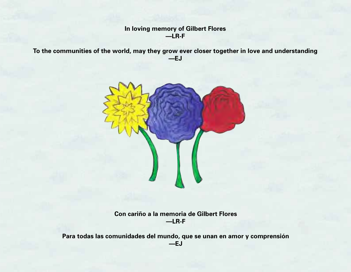## **In loving memory of Gilbert Flores —LR-F**

**To the communities of the world, may they grow ever closer together in love and understanding —EJ**



**Con cariño a la memoria de Gilbert Flores —LR-F**

**Para todas las comunidades del mundo, que se unan en amor y comprensión —EJ**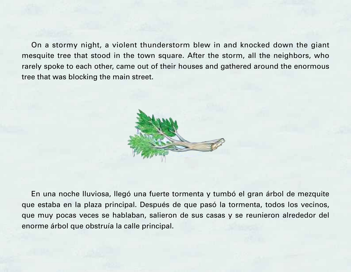On a stormy night, a violent thunderstorm blew in and knocked down the giant mesquite tree that stood in the town square. After the storm, all the neighbors, who rarely spoke to each other, came out of their houses and gathered around the enormous tree that was blocking the main street.



En una noche lluviosa, llegó una fuerte tormenta y tumbó el gran árbol de mezquite que estaba en la plaza principal. Después de que pasó la tormenta, todos los vecinos, que muy pocas veces se hablaban, salieron de sus casas y se reunieron alrededor del enorme árbol que obstruía la calle principal.